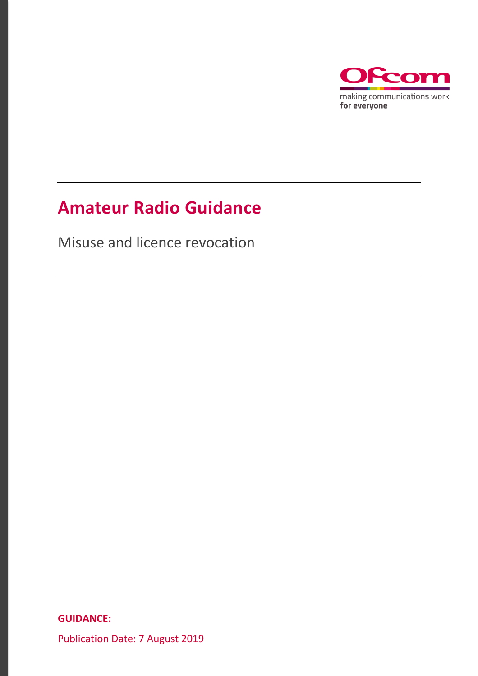

### **Amateur Radio Guidance**

Misuse and licence revocation

**GUIDANCE:**

Publication Date: 7 August 2019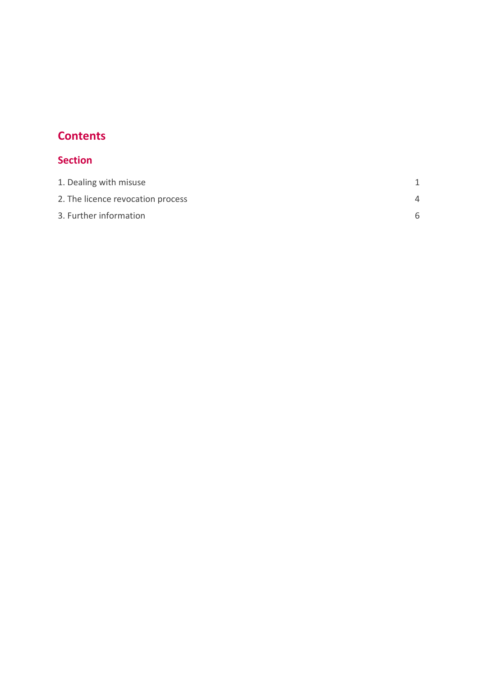### **Contents**

### **Section**

| 1. Dealing with misuse            |          |
|-----------------------------------|----------|
| 2. The licence revocation process | $\Delta$ |
| 3. Further information            |          |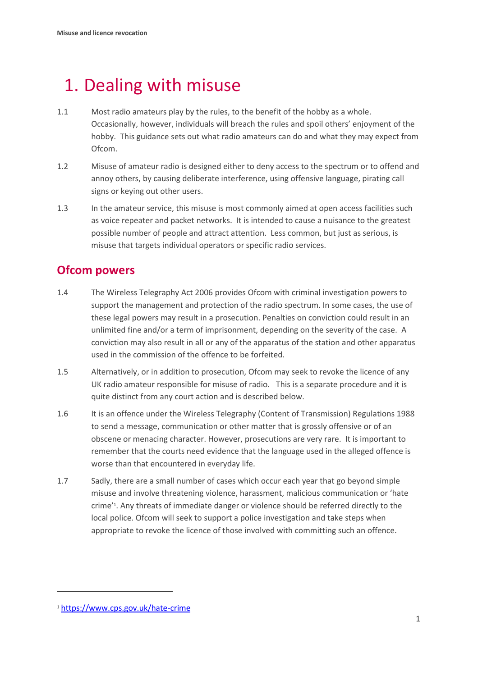## <span id="page-2-0"></span>1. Dealing with misuse

- 1.1 Most radio amateurs play by the rules, to the benefit of the hobby as a whole. Occasionally, however, individuals will breach the rules and spoil others' enjoyment of the hobby. This guidance sets out what radio amateurs can do and what they may expect from Ofcom.
- 1.2 Misuse of amateur radio is designed either to deny access to the spectrum or to offend and annoy others, by causing deliberate interference, using offensive language, pirating call signs or keying out other users.
- 1.3 In the amateur service, this misuse is most commonly aimed at open access facilities such as voice repeater and packet networks. It is intended to cause a nuisance to the greatest possible number of people and attract attention. Less common, but just as serious, is misuse that targets individual operators or specific radio services.

### **Ofcom powers**

- 1.4 The Wireless Telegraphy Act 2006 provides Ofcom with criminal investigation powers to support the management and protection of the radio spectrum. In some cases, the use of these legal powers may result in a prosecution. Penalties on conviction could result in an unlimited fine and/or a term of imprisonment, depending on the severity of the case. A conviction may also result in all or any of the apparatus of the station and other apparatus used in the commission of the offence to be forfeited.
- 1.5 Alternatively, or in addition to prosecution, Ofcom may seek to revoke the licence of any UK radio amateur responsible for misuse of radio. This is a separate procedure and it is quite distinct from any court action and is described below.
- 1.6 It is an offence under the Wireless Telegraphy (Content of Transmission) Regulations 1988 to send a message, communication or other matter that is grossly offensive or of an obscene or menacing character. However, prosecutions are very rare. It is important to remember that the courts need evidence that the language used in the alleged offence is worse than that encountered in everyday life.
- 1.7 Sadly, there are a small number of cases which occur each year that go beyond simple misuse and involve threatening violence, harassment, malicious communication or 'hate crime' 1 . Any threats of immediate danger or violence should be referred directly to the local police. Ofcom will seek to support a police investigation and take steps when appropriate to revoke the licence of those involved with committing such an offence.

 $\overline{a}$ 

<sup>1</sup> <https://www.cps.gov.uk/hate-crime>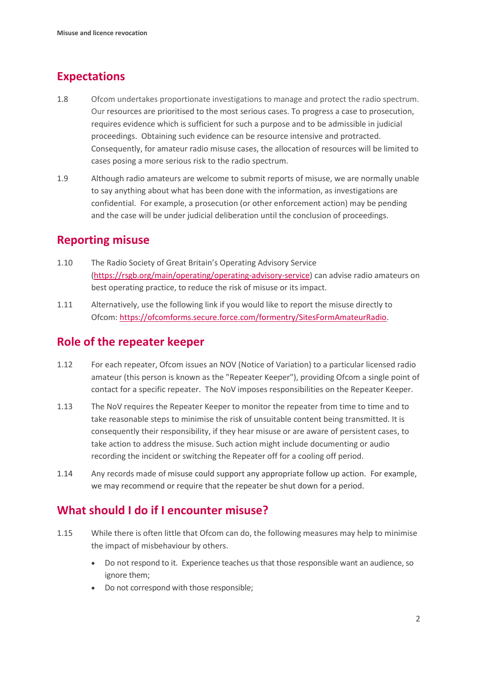### **Expectations**

- 1.8 Ofcom undertakes proportionate investigations to manage and protect the radio spectrum. Our resources are prioritised to the most serious cases. To progress a case to prosecution, requires evidence which is sufficient for such a purpose and to be admissible in judicial proceedings. Obtaining such evidence can be resource intensive and protracted. Consequently, for amateur radio misuse cases, the allocation of resources will be limited to cases posing a more serious risk to the radio spectrum.
- 1.9 Although radio amateurs are welcome to submit reports of misuse, we are normally unable to say anything about what has been done with the information, as investigations are confidential. For example, a prosecution (or other enforcement action) may be pending and the case will be under judicial deliberation until the conclusion of proceedings.

#### **Reporting misuse**

- 1.10 The Radio Society of Great Britain's Operating Advisory Service [\(https://rsgb.org/main/operating/operating-advisory-service\)](https://rsgb.org/main/operating/operating-advisory-service/) can advise radio amateurs on best operating practice, to reduce the risk of misuse or its impact.
- 1.11 Alternatively, use the following link if you would like to report the misuse directly to Ofcom: [https://ofcomforms.secure.force.com/formentry/SitesFormAmateurRadio.](https://ofcomforms.secure.force.com/formentry/SitesFormAmateurRadio)

### **Role of the repeater keeper**

- 1.12 For each repeater, Ofcom issues an NOV (Notice of Variation) to a particular licensed radio amateur (this person is known as the "Repeater Keeper"), providing Ofcom a single point of contact for a specific repeater. The NoV imposes responsibilities on the Repeater Keeper.
- 1.13 The NoV requires the Repeater Keeper to monitor the repeater from time to time and to take reasonable steps to minimise the risk of unsuitable content being transmitted. It is consequently their responsibility, if they hear misuse or are aware of persistent cases, to take action to address the misuse. Such action might include documenting or audio recording the incident or switching the Repeater off for a cooling off period.
- 1.14 Any records made of misuse could support any appropriate follow up action. For example, we may recommend or require that the repeater be shut down for a period.

### **What should I do if I encounter misuse?**

- 1.15 While there is often little that Ofcom can do, the following measures may help to minimise the impact of misbehaviour by others.
	- Do not respond to it. Experience teaches us that those responsible want an audience, so ignore them;
	- Do not correspond with those responsible;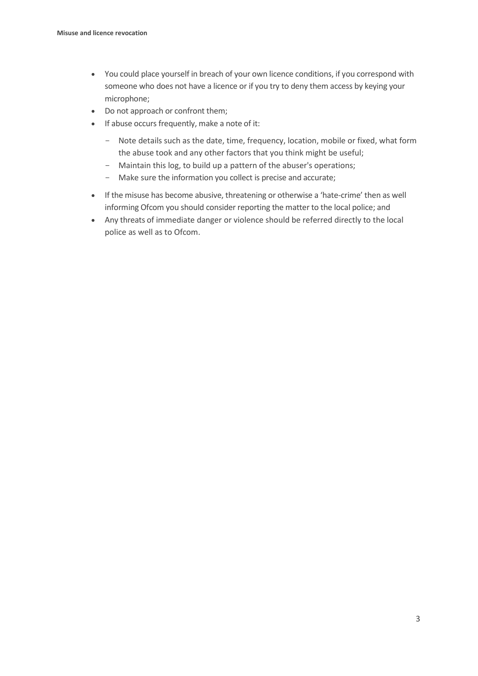- You could place yourself in breach of your own licence conditions, if you correspond with someone who does not have a licence or if you try to deny them access by keying your microphone;
- Do not approach or confront them;
- If abuse occurs frequently, make a note of it:
	- Note details such as the date, time, frequency, location, mobile or fixed, what form the abuse took and any other factors that you think might be useful;
	- Maintain this log, to build up a pattern of the abuser's operations;
	- Make sure the information you collect is precise and accurate;
- If the misuse has become abusive, threatening or otherwise a 'hate-crime' then as well informing Ofcom you should consider reporting the matter to the local police; and
- Any threats of immediate danger or violence should be referred directly to the local police as well as to Ofcom.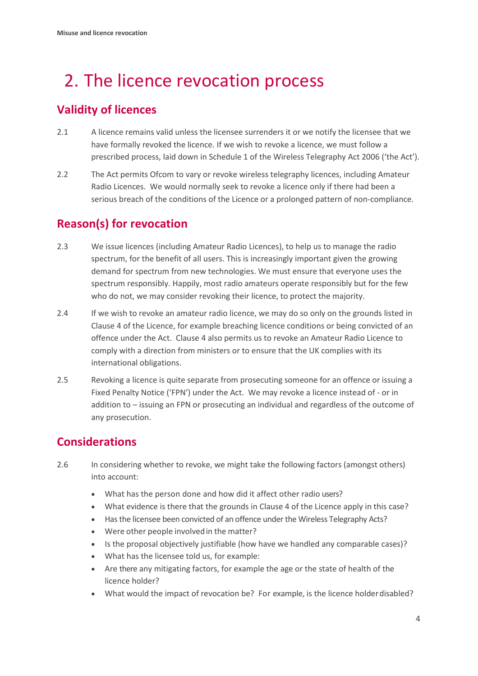# <span id="page-5-0"></span>2. The licence revocation process

### **Validity of licences**

- 2.1 A licence remains valid unless the licensee surrenders it or we notify the licensee that we have formally revoked the licence. If we wish to revoke a licence, we must follow a prescribed process, laid down in Schedule 1 of the Wireless Telegraphy Act 2006 ('the Act').
- 2.2 The Act permits Ofcom to vary or revoke wireless telegraphy licences, including Amateur Radio Licences. We would normally seek to revoke a licence only if there had been a serious breach of the conditions of the Licence or a prolonged pattern of non-compliance.

### **Reason(s) for revocation**

- 2.3 We issue licences (including Amateur Radio Licences), to help us to manage the radio spectrum, for the benefit of all users. This is increasingly important given the growing demand for spectrum from new technologies. We must ensure that everyone uses the spectrum responsibly. Happily, most radio amateurs operate responsibly but for the few who do not, we may consider revoking their licence, to protect the majority.
- 2.4 If we wish to revoke an amateur radio licence, we may do so only on the grounds listed in Clause 4 of the Licence, for example breaching licence conditions or being convicted of an offence under the Act. Clause 4 also permits us to revoke an Amateur Radio Licence to comply with a direction from ministers or to ensure that the UK complies with its international obligations.
- 2.5 Revoking a licence is quite separate from prosecuting someone for an offence or issuing a Fixed Penalty Notice ('FPN') under the Act. We may revoke a licence instead of - or in addition to – issuing an FPN or prosecuting an individual and regardless of the outcome of any prosecution.

### **Considerations**

- 2.6 In considering whether to revoke, we might take the following factors (amongst others) into account:
	- What has the person done and how did it affect other radio users?
	- What evidence is there that the grounds in Clause 4 of the Licence apply in this case?
	- Has the licensee been convicted of an offence under the Wireless Telegraphy Acts?
	- Were other people involved in the matter?
	- Is the proposal objectively justifiable (how have we handled any comparable cases)?
	- What has the licensee told us, for example:
	- Are there any mitigating factors, for example the age or the state of health of the licence holder?
	- What would the impact of revocation be? For example, is the licence holderdisabled?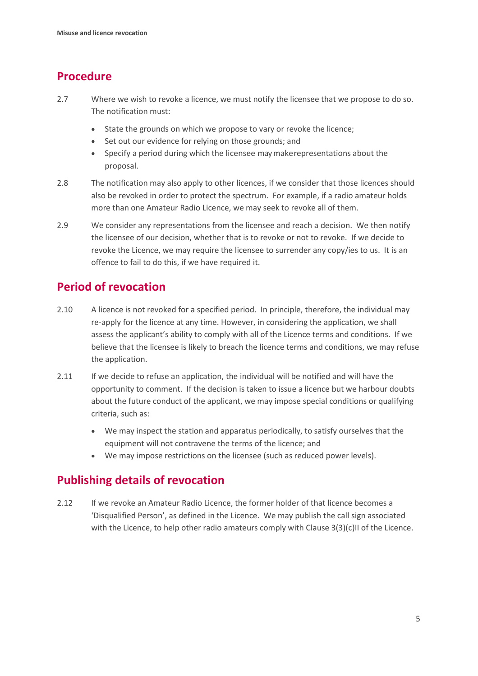### **Procedure**

- 2.7 Where we wish to revoke a licence, we must notify the licensee that we propose to do so. The notification must:
	- State the grounds on which we propose to vary or revoke the licence;
	- Set out our evidence for relying on those grounds; and
	- Specify a period during which the licensee may makerepresentations about the proposal.
- 2.8 The notification may also apply to other licences, if we consider that those licences should also be revoked in order to protect the spectrum. For example, if a radio amateur holds more than one Amateur Radio Licence, we may seek to revoke all of them.
- 2.9 We consider any representations from the licensee and reach a decision. We then notify the licensee of our decision, whether that is to revoke or not to revoke. If we decide to revoke the Licence, we may require the licensee to surrender any copy/ies to us. It is an offence to fail to do this, if we have required it.

### **Period of revocation**

- 2.10 A licence is not revoked for a specified period. In principle, therefore, the individual may re-apply for the licence at any time. However, in considering the application, we shall assess the applicant's ability to comply with all of the Licence terms and conditions. If we believe that the licensee is likely to breach the licence terms and conditions, we may refuse the application.
- 2.11 If we decide to refuse an application, the individual will be notified and will have the opportunity to comment. If the decision is taken to issue a licence but we harbour doubts about the future conduct of the applicant, we may impose special conditions or qualifying criteria, such as:
	- We may inspect the station and apparatus periodically, to satisfy ourselves that the equipment will not contravene the terms of the licence; and
	- We may impose restrictions on the licensee (such as reduced power levels).

#### **Publishing details of revocation**

2.12 If we revoke an Amateur Radio Licence, the former holder of that licence becomes a 'Disqualified Person', as defined in the Licence. We may publish the call sign associated with the Licence, to help other radio amateurs comply with Clause 3(3)(c)II of the Licence.